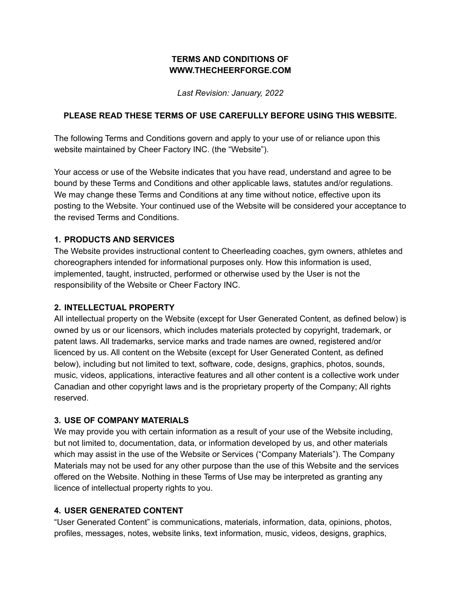## **TERMS AND CONDITIONS OF WWW.THECHEERFORGE.COM**

*Last Revision: January, 2022*

### **PLEASE READ THESE TERMS OF USE CAREFULLY BEFORE USING THIS WEBSITE.**

The following Terms and Conditions govern and apply to your use of or reliance upon this website maintained by Cheer Factory INC. (the "Website").

Your access or use of the Website indicates that you have read, understand and agree to be bound by these Terms and Conditions and other applicable laws, statutes and/or regulations. We may change these Terms and Conditions at any time without notice, effective upon its posting to the Website. Your continued use of the Website will be considered your acceptance to the revised Terms and Conditions.

### **1. PRODUCTS AND SERVICES**

The Website provides instructional content to Cheerleading coaches, gym owners, athletes and choreographers intended for informational purposes only. How this information is used, implemented, taught, instructed, performed or otherwise used by the User is not the responsibility of the Website or Cheer Factory INC.

#### **2. INTELLECTUAL PROPERTY**

All intellectual property on the Website (except for User Generated Content, as defined below) is owned by us or our licensors, which includes materials protected by copyright, trademark, or patent laws. All trademarks, service marks and trade names are owned, registered and/or licenced by us. All content on the Website (except for User Generated Content, as defined below), including but not limited to text, software, code, designs, graphics, photos, sounds, music, videos, applications, interactive features and all other content is a collective work under Canadian and other copyright laws and is the proprietary property of the Company; All rights reserved.

#### **3. USE OF COMPANY MATERIALS**

We may provide you with certain information as a result of your use of the Website including, but not limited to, documentation, data, or information developed by us, and other materials which may assist in the use of the Website or Services ("Company Materials"). The Company Materials may not be used for any other purpose than the use of this Website and the services offered on the Website. Nothing in these Terms of Use may be interpreted as granting any licence of intellectual property rights to you.

#### **4. USER GENERATED CONTENT**

"User Generated Content" is communications, materials, information, data, opinions, photos, profiles, messages, notes, website links, text information, music, videos, designs, graphics,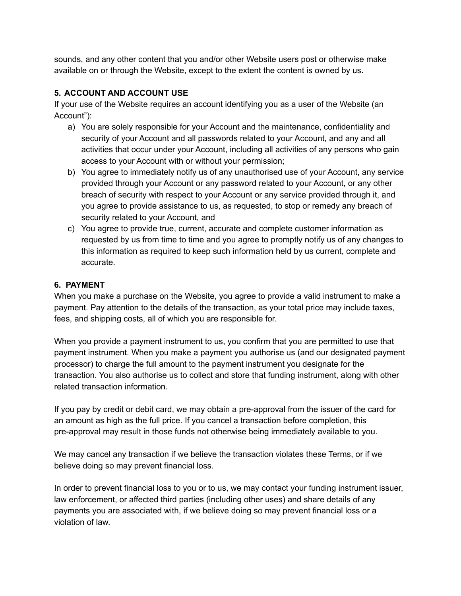sounds, and any other content that you and/or other Website users post or otherwise make available on or through the Website, except to the extent the content is owned by us.

# **5. ACCOUNT AND ACCOUNT USE**

If your use of the Website requires an account identifying you as a user of the Website (an Account"):

- a) You are solely responsible for your Account and the maintenance, confidentiality and security of your Account and all passwords related to your Account, and any and all activities that occur under your Account, including all activities of any persons who gain access to your Account with or without your permission;
- b) You agree to immediately notify us of any unauthorised use of your Account, any service provided through your Account or any password related to your Account, or any other breach of security with respect to your Account or any service provided through it, and you agree to provide assistance to us, as requested, to stop or remedy any breach of security related to your Account, and
- c) You agree to provide true, current, accurate and complete customer information as requested by us from time to time and you agree to promptly notify us of any changes to this information as required to keep such information held by us current, complete and accurate.

## **6. PAYMENT**

When you make a purchase on the Website, you agree to provide a valid instrument to make a payment. Pay attention to the details of the transaction, as your total price may include taxes, fees, and shipping costs, all of which you are responsible for.

When you provide a payment instrument to us, you confirm that you are permitted to use that payment instrument. When you make a payment you authorise us (and our designated payment processor) to charge the full amount to the payment instrument you designate for the transaction. You also authorise us to collect and store that funding instrument, along with other related transaction information.

If you pay by credit or debit card, we may obtain a pre-approval from the issuer of the card for an amount as high as the full price. If you cancel a transaction before completion, this pre-approval may result in those funds not otherwise being immediately available to you.

We may cancel any transaction if we believe the transaction violates these Terms, or if we believe doing so may prevent financial loss.

In order to prevent financial loss to you or to us, we may contact your funding instrument issuer, law enforcement, or affected third parties (including other uses) and share details of any payments you are associated with, if we believe doing so may prevent financial loss or a violation of law.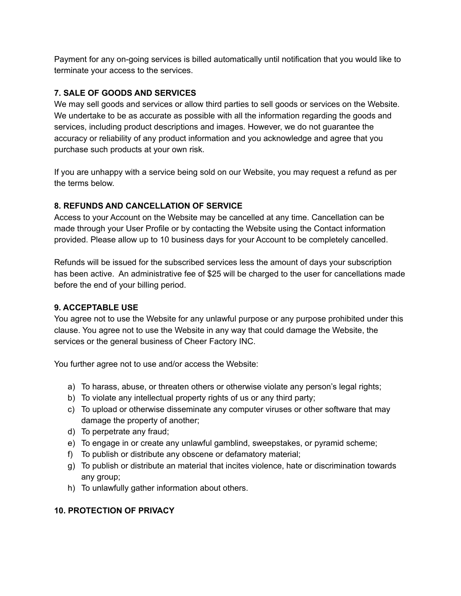Payment for any on-going services is billed automatically until notification that you would like to terminate your access to the services.

## **7. SALE OF GOODS AND SERVICES**

We may sell goods and services or allow third parties to sell goods or services on the Website. We undertake to be as accurate as possible with all the information regarding the goods and services, including product descriptions and images. However, we do not guarantee the accuracy or reliability of any product information and you acknowledge and agree that you purchase such products at your own risk.

If you are unhappy with a service being sold on our Website, you may request a refund as per the terms below.

## **8. REFUNDS AND CANCELLATION OF SERVICE**

Access to your Account on the Website may be cancelled at any time. Cancellation can be made through your User Profile or by contacting the Website using the Contact information provided. Please allow up to 10 business days for your Account to be completely cancelled.

Refunds will be issued for the subscribed services less the amount of days your subscription has been active. An administrative fee of \$25 will be charged to the user for cancellations made before the end of your billing period.

### **9. ACCEPTABLE USE**

You agree not to use the Website for any unlawful purpose or any purpose prohibited under this clause. You agree not to use the Website in any way that could damage the Website, the services or the general business of Cheer Factory INC.

You further agree not to use and/or access the Website:

- a) To harass, abuse, or threaten others or otherwise violate any person's legal rights;
- b) To violate any intellectual property rights of us or any third party;
- c) To upload or otherwise disseminate any computer viruses or other software that may damage the property of another;
- d) To perpetrate any fraud;
- e) To engage in or create any unlawful gamblind, sweepstakes, or pyramid scheme;
- f) To publish or distribute any obscene or defamatory material;
- g) To publish or distribute an material that incites violence, hate or discrimination towards any group;
- h) To unlawfully gather information about others.

# **10. PROTECTION OF PRIVACY**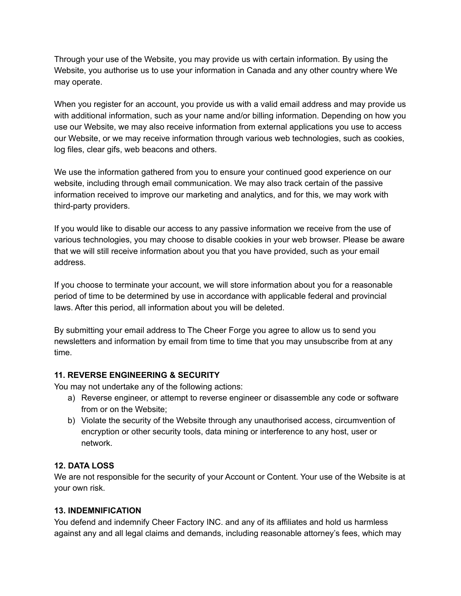Through your use of the Website, you may provide us with certain information. By using the Website, you authorise us to use your information in Canada and any other country where We may operate.

When you register for an account, you provide us with a valid email address and may provide us with additional information, such as your name and/or billing information. Depending on how you use our Website, we may also receive information from external applications you use to access our Website, or we may receive information through various web technologies, such as cookies, log files, clear gifs, web beacons and others.

We use the information gathered from you to ensure your continued good experience on our website, including through email communication. We may also track certain of the passive information received to improve our marketing and analytics, and for this, we may work with third-party providers.

If you would like to disable our access to any passive information we receive from the use of various technologies, you may choose to disable cookies in your web browser. Please be aware that we will still receive information about you that you have provided, such as your email address.

If you choose to terminate your account, we will store information about you for a reasonable period of time to be determined by use in accordance with applicable federal and provincial laws. After this period, all information about you will be deleted.

By submitting your email address to The Cheer Forge you agree to allow us to send you newsletters and information by email from time to time that you may unsubscribe from at any time.

### **11. REVERSE ENGINEERING & SECURITY**

You may not undertake any of the following actions:

- a) Reverse engineer, or attempt to reverse engineer or disassemble any code or software from or on the Website;
- b) Violate the security of the Website through any unauthorised access, circumvention of encryption or other security tools, data mining or interference to any host, user or network.

#### **12. DATA LOSS**

We are not responsible for the security of your Account or Content. Your use of the Website is at your own risk.

#### **13. INDEMNIFICATION**

You defend and indemnify Cheer Factory INC. and any of its affiliates and hold us harmless against any and all legal claims and demands, including reasonable attorney's fees, which may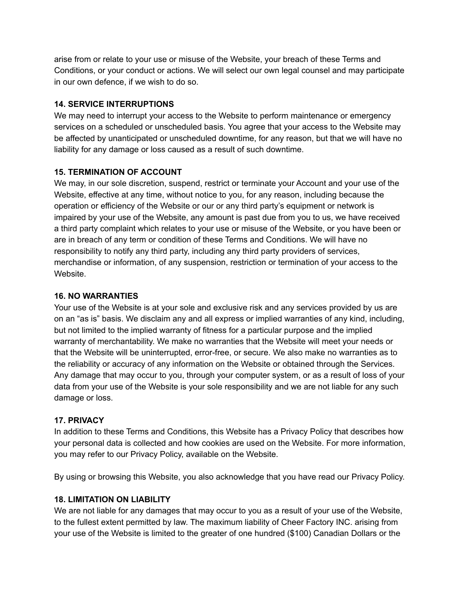arise from or relate to your use or misuse of the Website, your breach of these Terms and Conditions, or your conduct or actions. We will select our own legal counsel and may participate in our own defence, if we wish to do so.

### **14. SERVICE INTERRUPTIONS**

We may need to interrupt your access to the Website to perform maintenance or emergency services on a scheduled or unscheduled basis. You agree that your access to the Website may be affected by unanticipated or unscheduled downtime, for any reason, but that we will have no liability for any damage or loss caused as a result of such downtime.

#### **15. TERMINATION OF ACCOUNT**

We may, in our sole discretion, suspend, restrict or terminate your Account and your use of the Website, effective at any time, without notice to you, for any reason, including because the operation or efficiency of the Website or our or any third party's equipment or network is impaired by your use of the Website, any amount is past due from you to us, we have received a third party complaint which relates to your use or misuse of the Website, or you have been or are in breach of any term or condition of these Terms and Conditions. We will have no responsibility to notify any third party, including any third party providers of services, merchandise or information, of any suspension, restriction or termination of your access to the Website.

#### **16. NO WARRANTIES**

Your use of the Website is at your sole and exclusive risk and any services provided by us are on an "as is" basis. We disclaim any and all express or implied warranties of any kind, including, but not limited to the implied warranty of fitness for a particular purpose and the implied warranty of merchantability. We make no warranties that the Website will meet your needs or that the Website will be uninterrupted, error-free, or secure. We also make no warranties as to the reliability or accuracy of any information on the Website or obtained through the Services. Any damage that may occur to you, through your computer system, or as a result of loss of your data from your use of the Website is your sole responsibility and we are not liable for any such damage or loss.

### **17. PRIVACY**

In addition to these Terms and Conditions, this Website has a Privacy Policy that describes how your personal data is collected and how cookies are used on the Website. For more information, you may refer to our Privacy Policy, available on the Website.

By using or browsing this Website, you also acknowledge that you have read our Privacy Policy.

### **18. LIMITATION ON LIABILITY**

We are not liable for any damages that may occur to you as a result of your use of the Website, to the fullest extent permitted by law. The maximum liability of Cheer Factory INC. arising from your use of the Website is limited to the greater of one hundred (\$100) Canadian Dollars or the